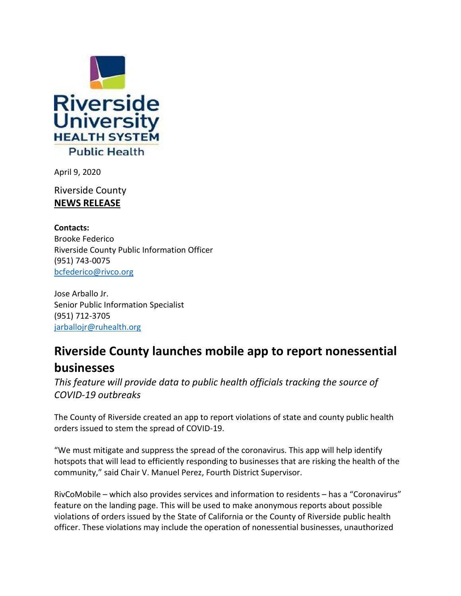

April 9, 2020

Riverside County **NEWS RELEASE**

**Contacts:** Brooke Federico Riverside County Public Information Officer (951) 743-0075 [bcfederico@rivco.org](mailto:bcfederico@rivco.org)

Jose Arballo Jr. Senior Public Information Specialist (951) 712-3705 [jarballojr@ruhealth.org](mailto:jarballojr@ruhealth.org)

## **Riverside County launches mobile app to report nonessential businesses**

*This feature will provide data to public health officials tracking the source of COVID-19 outbreaks*

The County of Riverside created an app to report violations of state and county public health orders issued to stem the spread of COVID-19.

"We must mitigate and suppress the spread of the coronavirus. This app will help identify hotspots that will lead to efficiently responding to businesses that are risking the health of the community," said Chair V. Manuel Perez, Fourth District Supervisor.

RivCoMobile – which also provides services and information to residents – has a "Coronavirus" feature on the landing page. This will be used to make anonymous reports about possible violations of orders issued by the State of California or the County of Riverside public health officer. These violations may include the operation of nonessential businesses, unauthorized